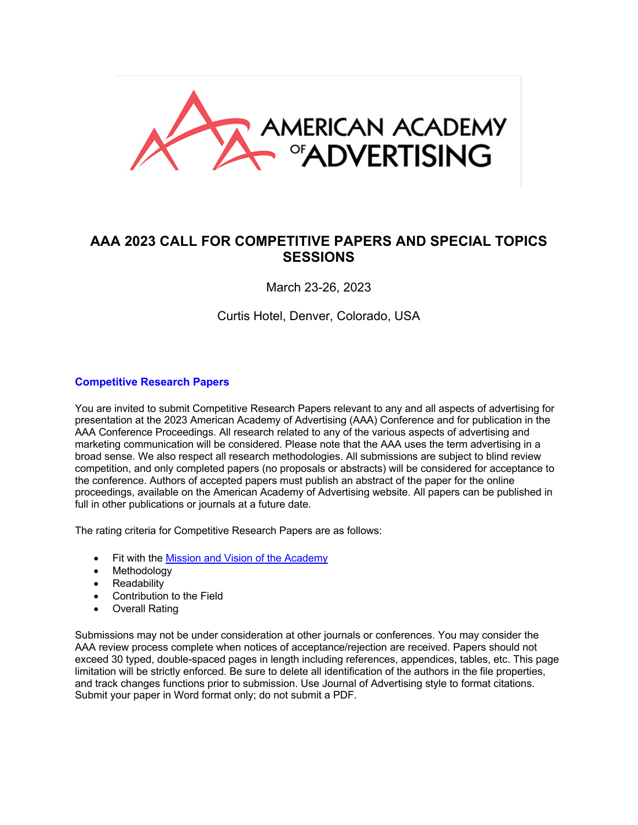

# **AAA 2023 CALL FOR COMPETITIVE PAPERS AND SPECIAL TOPICS SESSIONS**

March 23-26, 2023

Curtis Hotel, Denver, Colorado, USA

#### **Competitive Research Papers**

You are invited to submit Competitive Research Papers relevant to any and all aspects of advertising for presentation at the 2023 American Academy of Advertising (AAA) Conference and for publication in the AAA Conference Proceedings. All research related to any of the various aspects of advertising and marketing communication will be considered. Please note that the AAA uses the term advertising in a broad sense. We also respect all research methodologies. All submissions are subject to blind review competition, and only completed papers (no proposals or abstracts) will be considered for acceptance to the conference. Authors of accepted papers must publish an abstract of the paper for the online proceedings, available on the American Academy of Advertising website. All papers can be published in full in other publications or journals at a future date.

The rating criteria for Competitive Research Papers are as follows:

- Fit with the Mission and Vision of the Academy
- Methodology
- Readability
- Contribution to the Field
- Overall Rating

Submissions may not be under consideration at other journals or conferences. You may consider the AAA review process complete when notices of acceptance/rejection are received. Papers should not exceed 30 typed, double-spaced pages in length including references, appendices, tables, etc. This page limitation will be strictly enforced. Be sure to delete all identification of the authors in the file properties, and track changes functions prior to submission. Use Journal of Advertising style to format citations. Submit your paper in Word format only; do not submit a PDF.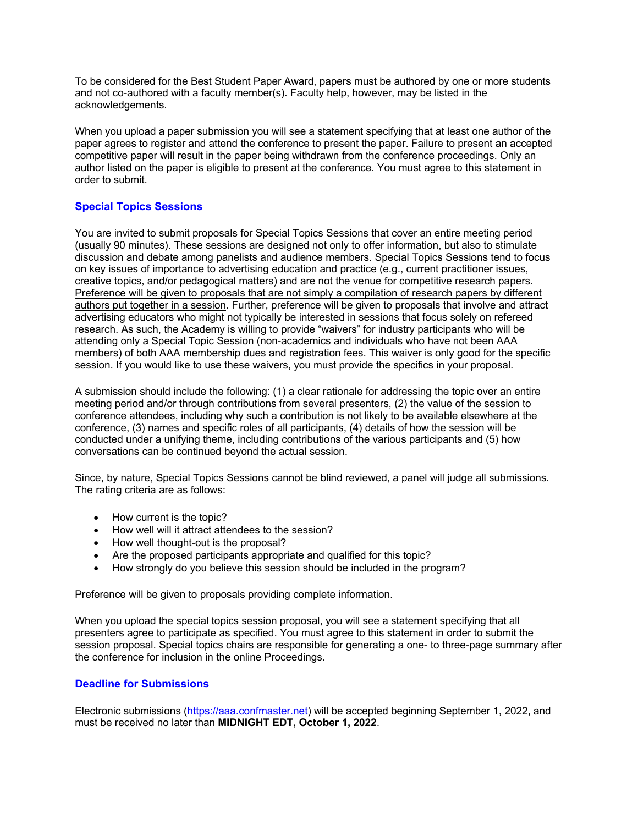To be considered for the Best Student Paper Award, papers must be authored by one or more students and not co-authored with a faculty member(s). Faculty help, however, may be listed in the acknowledgements.

When you upload a paper submission you will see a statement specifying that at least one author of the paper agrees to register and attend the conference to present the paper. Failure to present an accepted competitive paper will result in the paper being withdrawn from the conference proceedings. Only an author listed on the paper is eligible to present at the conference. You must agree to this statement in order to submit.

## **Special Topics Sessions**

You are invited to submit proposals for Special Topics Sessions that cover an entire meeting period (usually 90 minutes). These sessions are designed not only to offer information, but also to stimulate discussion and debate among panelists and audience members. Special Topics Sessions tend to focus on key issues of importance to advertising education and practice (e.g., current practitioner issues, creative topics, and/or pedagogical matters) and are not the venue for competitive research papers. Preference will be given to proposals that are not simply a compilation of research papers by different authors put together in a session. Further, preference will be given to proposals that involve and attract advertising educators who might not typically be interested in sessions that focus solely on refereed research. As such, the Academy is willing to provide "waivers" for industry participants who will be attending only a Special Topic Session (non-academics and individuals who have not been AAA members) of both AAA membership dues and registration fees. This waiver is only good for the specific session. If you would like to use these waivers, you must provide the specifics in your proposal.

A submission should include the following: (1) a clear rationale for addressing the topic over an entire meeting period and/or through contributions from several presenters, (2) the value of the session to conference attendees, including why such a contribution is not likely to be available elsewhere at the conference, (3) names and specific roles of all participants, (4) details of how the session will be conducted under a unifying theme, including contributions of the various participants and (5) how conversations can be continued beyond the actual session.

Since, by nature, Special Topics Sessions cannot be blind reviewed, a panel will judge all submissions. The rating criteria are as follows:

- How current is the topic?
- How well will it attract attendees to the session?
- How well thought-out is the proposal?
- Are the proposed participants appropriate and qualified for this topic?
- How strongly do you believe this session should be included in the program?

Preference will be given to proposals providing complete information.

When you upload the special topics session proposal, you will see a statement specifying that all presenters agree to participate as specified. You must agree to this statement in order to submit the session proposal. Special topics chairs are responsible for generating a one- to three-page summary after the conference for inclusion in the online Proceedings.

## **Deadline for Submissions**

Electronic submissions (https://aaa.confmaster.net) will be accepted beginning September 1, 2022, and must be received no later than **MIDNIGHT EDT, October 1, 2022**.